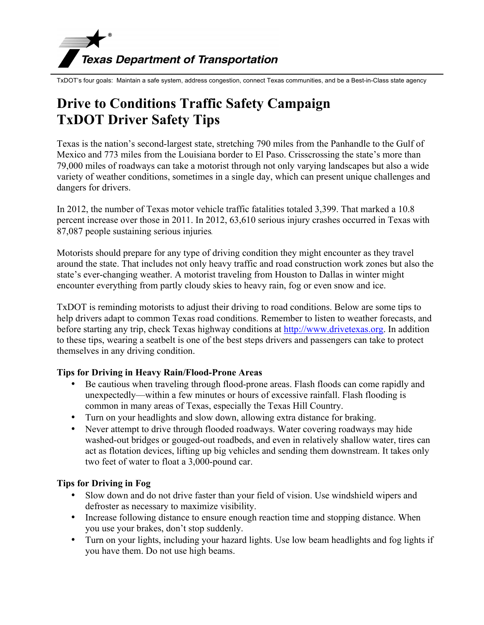# **Texas Department of Transportation**<br>TxDOT's four goals: Maintain a safe system, address congestion, connect Texas communities, and be a Best-in-Class state agency

## **Drive to Conditions Traffic Safety Campaign TxDOT Driver Safety Tips**

Texas is the nation's second-largest state, stretching 790 miles from the Panhandle to the Gulf of Mexico and 773 miles from the Louisiana border to El Paso. Crisscrossing the state's more than 79,000 miles of roadways can take a motorist through not only varying landscapes but also a wide variety of weather conditions, sometimes in a single day, which can present unique challenges and dangers for drivers.

In 2012, the number of Texas motor vehicle traffic fatalities totaled 3,399. That marked a 10.8 percent increase over those in 2011. In 2012, 63,610 serious injury crashes occurred in Texas with 87,087 people sustaining serious injuries.

Motorists should prepare for any type of driving condition they might encounter as they travel around the state. That includes not only heavy traffic and road construction work zones but also the state's ever-changing weather. A motorist traveling from Houston to Dallas in winter might encounter everything from partly cloudy skies to heavy rain, fog or even snow and ice.

TxDOT is reminding motorists to adjust their driving to road conditions. Below are some tips to help drivers adapt to common Texas road conditions. Remember to listen to weather forecasts, and before starting any trip, check Texas highway conditions at http://www.drivetexas.org. In addition to these tips, wearing a seatbelt is one of the best steps drivers and passengers can take to protect themselves in any driving condition.

### **Tips for Driving in Heavy Rain/Flood-Prone Areas**

- Be cautious when traveling through flood-prone areas. Flash floods can come rapidly and unexpectedly—within a few minutes or hours of excessive rainfall. Flash flooding is common in many areas of Texas, especially the Texas Hill Country.
- Turn on your headlights and slow down, allowing extra distance for braking.
- Never attempt to drive through flooded roadways. Water covering roadways may hide washed-out bridges or gouged-out roadbeds, and even in relatively shallow water, tires can act as flotation devices, lifting up big vehicles and sending them downstream. It takes only two feet of water to float a 3,000-pound car.

### **Tips for Driving in Fog**

- Slow down and do not drive faster than your field of vision. Use windshield wipers and defroster as necessary to maximize visibility.
- Increase following distance to ensure enough reaction time and stopping distance. When you use your brakes, don't stop suddenly.
- Turn on your lights, including your hazard lights. Use low beam headlights and fog lights if you have them. Do not use high beams.